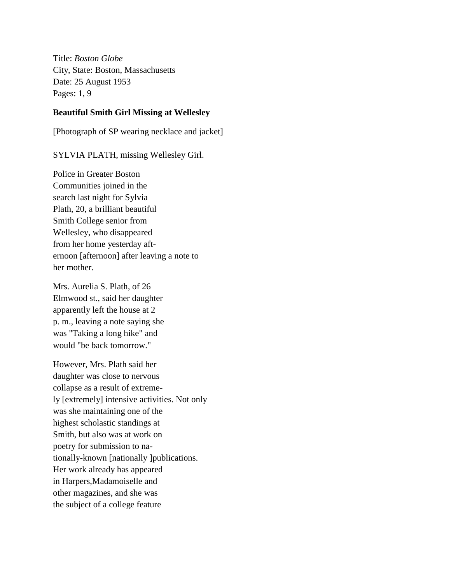Title: *Boston Globe* City, State: Boston, Massachusetts Date: 25 August 1953 Pages: 1, 9

#### **Beautiful Smith Girl Missing at Wellesley**

[Photograph of SP wearing necklace and jacket]

SYLVIA PLATH, missing Wellesley Girl.

Police in Greater Boston Communities joined in the search last night for Sylvia Plath, 20, a brilliant beautiful Smith College senior from Wellesley, who disappeared from her home yesterday afternoon [afternoon] after leaving a note to her mother.

Mrs. Aurelia S. Plath, of 26 Elmwood st., said her daughter apparently left the house at 2 p. m., leaving a note saying she was "Taking a long hike" and would "be back tomorrow."

However, Mrs. Plath said her daughter was close to nervous collapse as a result of extremely [extremely] intensive activities. Not only was she maintaining one of the highest scholastic standings at Smith, but also was at work on poetry for submission to nationally-known [nationally ]publications. Her work already has appeared in Harpers,Madamoiselle and other magazines, and she was the subject of a college feature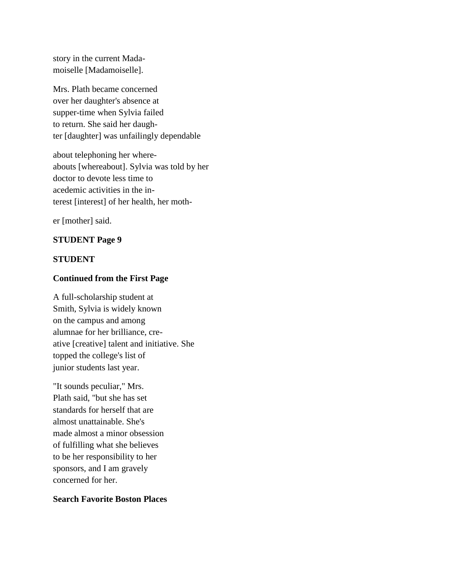story in the current Madamoiselle [Madamoiselle].

Mrs. Plath became concerned over her daughter's absence at supper-time when Sylvia failed to return. She said her daughter [daughter] was unfailingly dependable

about telephoning her whereabouts [whereabout]. Sylvia was told by her doctor to devote less time to acedemic activities in the interest [interest] of her health, her moth-

er [mother] said.

# **STUDENT Page 9**

# **STUDENT**

# **Continued from the First Page**

A full-scholarship student at Smith, Sylvia is widely known on the campus and among alumnae for her brilliance, creative [creative] talent and initiative. She topped the college's list of junior students last year.

"It sounds peculiar," Mrs. Plath said, "but she has set standards for herself that are almost unattainable. She's made almost a minor obsession of fulfilling what she believes to be her responsibility to her sponsors, and I am gravely concerned for her.

# **Search Favorite Boston Places**